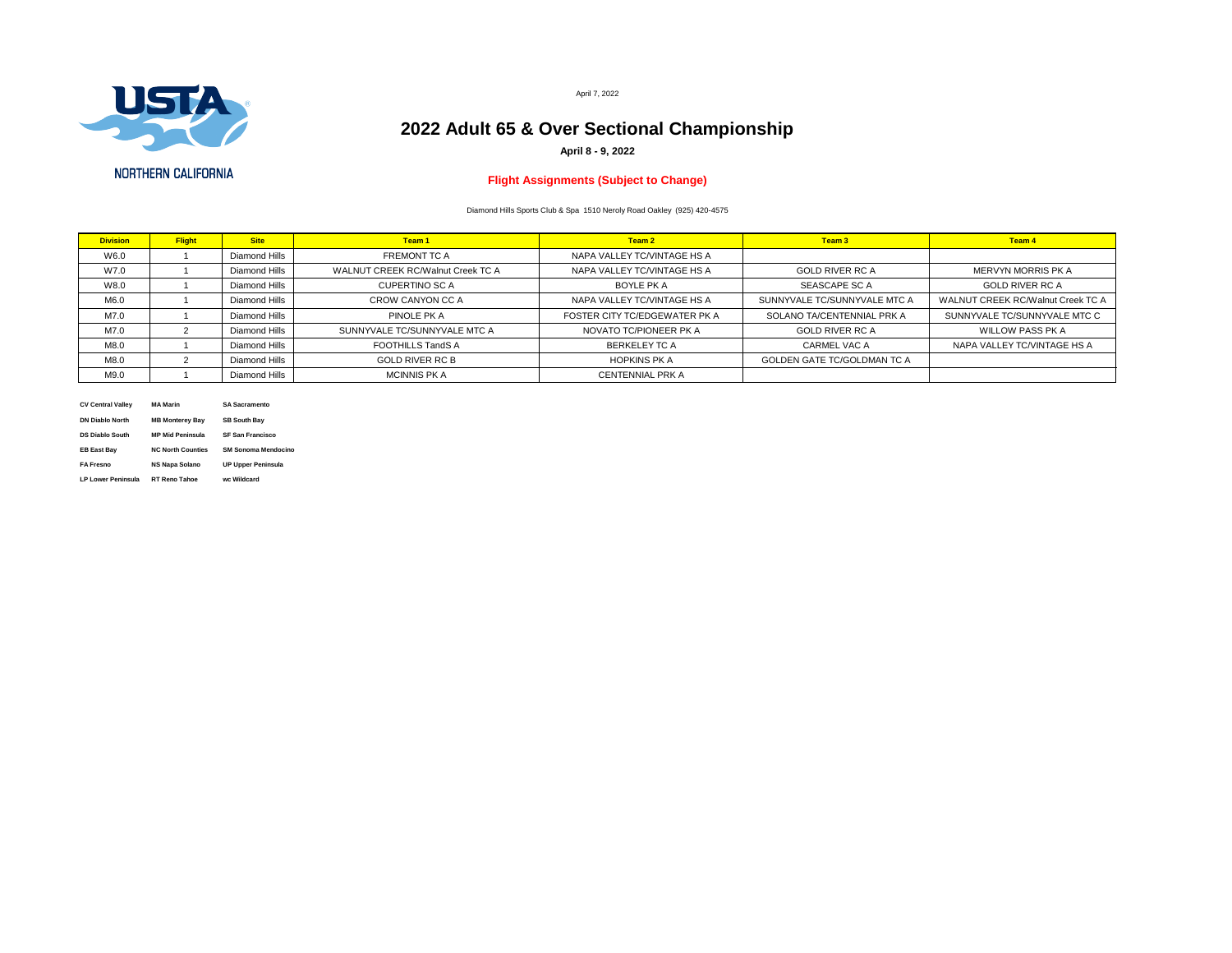

**NORTHERN CALIFORNIA** 

| <b>Division</b> | <b>Flight</b> | <b>Site</b>          | Team 1                                   | Team 2                        | Team 3                             | <b>Team 4</b>                            |  |
|-----------------|---------------|----------------------|------------------------------------------|-------------------------------|------------------------------------|------------------------------------------|--|
| W6.0            |               | <b>Diamond Hills</b> | <b>FREMONT TC A</b>                      | NAPA VALLEY TC/VINTAGE HS A   |                                    |                                          |  |
| W7.0            |               | <b>Diamond Hills</b> | <b>WALNUT CREEK RC/Walnut Creek TC A</b> | NAPA VALLEY TC/VINTAGE HS A   | <b>GOLD RIVER RC A</b>             | MERVYN MORRIS PK A                       |  |
| W8.0            |               | <b>Diamond Hills</b> | <b>CUPERTINO SC A</b>                    | <b>BOYLE PK A</b>             | <b>SEASCAPE SC A</b>               | <b>GOLD RIVER RC A</b>                   |  |
| M6.0            |               | <b>Diamond Hills</b> | CROW CANYON CC A                         | NAPA VALLEY TC/VINTAGE HS A   | SUNNYVALE TC/SUNNYVALE MTC A       | <b>WALNUT CREEK RC/Walnut Creek TC A</b> |  |
| M7.0            |               | <b>Diamond Hills</b> | PINOLE PK A                              | FOSTER CITY TC/EDGEWATER PK A | SOLANO TA/CENTENNIAL PRK A         | SUNNYVALE TC/SUNNYVALE MTC C             |  |
| M7.0            |               | <b>Diamond Hills</b> | SUNNYVALE TC/SUNNYVALE MTC A             | NOVATO TC/PIONEER PK A        | <b>GOLD RIVER RC A</b>             | <b>WILLOW PASS PK A</b>                  |  |
| M8.0            |               | <b>Diamond Hills</b> | <b>FOOTHILLS TandS A</b>                 | <b>BERKELEY TC A</b>          | <b>CARMEL VAC A</b>                | NAPA VALLEY TC/VINTAGE HS A              |  |
| M8.0            |               | <b>Diamond Hills</b> | <b>GOLD RIVER RC B</b>                   | <b>HOPKINS PK A</b>           | <b>GOLDEN GATE TC/GOLDMAN TC A</b> |                                          |  |
| M9.0            |               | <b>Diamond Hills</b> | <b>MCINNIS PK A</b>                      | <b>CENTENNIAL PRK A</b>       |                                    |                                          |  |

| <b>CV Central Valley</b>  | <b>MA Marin</b>          | <b>SA Sacramento</b>       |
|---------------------------|--------------------------|----------------------------|
| <b>DN Diablo North</b>    | <b>MB Monterey Bay</b>   | <b>SB South Bay</b>        |
| <b>DS Diablo South</b>    | <b>MP Mid Peninsula</b>  | <b>SF San Francisco</b>    |
| <b>EB East Bay</b>        | <b>NC North Counties</b> | <b>SM Sonoma Mendocino</b> |
| <b>FA Fresno</b>          | <b>NS Napa Solano</b>    | <b>UP Upper Peninsula</b>  |
| <b>LP Lower Peninsula</b> | <b>RT Reno Tahoe</b>     | wc Wildcard                |

April 7, 2022

# **2022 Adult 65 & Over Sectional Championship**

**April 8 - 9, 2022**

## **Flight Assignments (Subject to Change)**

Diamond Hills Sports Club & Spa 1510 Neroly Road Oakley (925) 420-4575